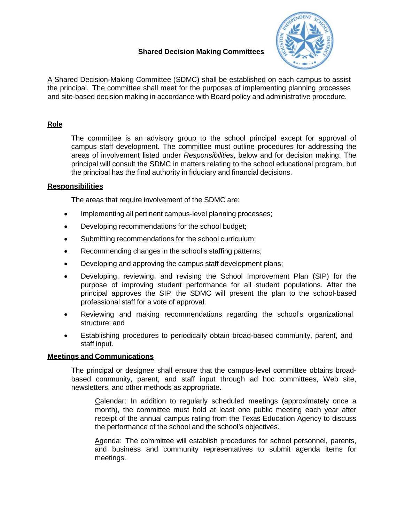# **Shared Decision Making Committees**



A Shared Decision-Making Committee (SDMC) shall be established on each campus to assist the principal. The committee shall meet for the purposes of implementing planning processes and site-based decision making in accordance with Board policy and administrative procedure.

# **Role**

The committee is an advisory group to the school principal except for approval of campus staff development. The committee must outline procedures for addressing the areas of involvement listed under *Responsibilities*, below and for decision making. The principal will consult the SDMC in matters relating to the school educational program, but the principal has the final authority in fiduciary and financial decisions.

## **Responsibilities**

The areas that require involvement of the SDMC are:

- Implementing all pertinent campus-level planning processes;
- Developing recommendations for the school budget;
- Submitting recommendations for the school curriculum;
- Recommending changes in the school's staffing patterns;
- Developing and approving the campus staff development plans;
- Developing, reviewing, and revising the School Improvement Plan (SIP) for the purpose of improving student performance for all student populations. After the principal approves the SIP, the SDMC will present the plan to the school-based professional staff for a vote of approval.
- Reviewing and making recommendations regarding the school's organizational structure; and
- Establishing procedures to periodically obtain broad-based community, parent, and staff input.

### **Meetings and Communications**

The principal or designee shall ensure that the campus-level committee obtains broadbased community, parent, and staff input through ad hoc committees, Web site, newsletters, and other methods as appropriate.

Calendar: In addition to regularly scheduled meetings (approximately once a month), the committee must hold at least one public meeting each year after receipt of the annual campus rating from the Texas Education Agency to discuss the performance of the school and the school's objectives.

Agenda: The committee will establish procedures for school personnel, parents, and business and community representatives to submit agenda items for meetings.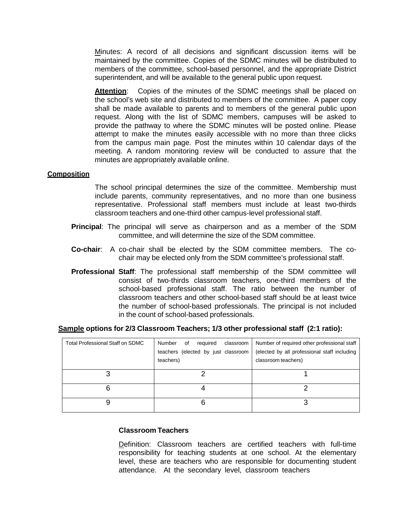Minutes: A record of all decisions and significant discussion items will be maintained by the committee. Copies of the SDMC minutes will be distributed to members of the committee, school-based personnel, and the appropriate District superintendent, and will be available to the general public upon request.

**Attention**: Copies of the minutes of the SDMC meetings shall be placed on the school's web site and distributed to members of the committee. A paper copy shall be made available to parents and to members of the general public upon request. Along with the list of SDMC members, campuses will be asked to provide the pathway to where the SDMC minutes will be posted online. Please attempt to make the minutes easily accessible with no more than three clicks from the campus main page. Post the minutes within 10 calendar days of the meeting. A random monitoring review will be conducted to assure that the minutes are appropriately available online.

### **Composition**

The school principal determines the size of the committee. Membership must include parents, community representatives, and no more than one business representative. Professional staff members must include at least two-thirds classroom teachers and one-third other campus-level professional staff.

- **Principal**: The principal will serve as chairperson and as a member of the SDM committee, and will determine the size of the SDM committee.
- **Co-chair**: A co-chair shall be elected by the SDM committee members. The cochair may be elected only from the SDM committee's professional staff.
- **Professional Staff**: The professional staff membership of the SDM committee will consist of two-thirds classroom teachers, one-third members of the school-based professional staff. The ratio between the number of classroom teachers and other school-based staff should be at least twice the number of school-based professionals. The principal is not included in the count of school-based professionals.

### **Sample options for 2/3 Classroom Teachers; 1/3 other professional staff (2:1 ratio):**

| Total Professional Staff on SDMC | required<br>of<br>classroom<br>Number<br>teachers (elected by just classroom<br>teachers) | Number of required other professional staff<br>(elected by all professional staff including<br>classroom teachers) |
|----------------------------------|-------------------------------------------------------------------------------------------|--------------------------------------------------------------------------------------------------------------------|
|                                  |                                                                                           |                                                                                                                    |
|                                  |                                                                                           |                                                                                                                    |
|                                  |                                                                                           |                                                                                                                    |

### **Classroom Teachers**

Definition: Classroom teachers are certified teachers with full-time responsibility for teaching students at one school. At the elementary level, these are teachers who are responsible for documenting student attendance. At the secondary level, classroom teachers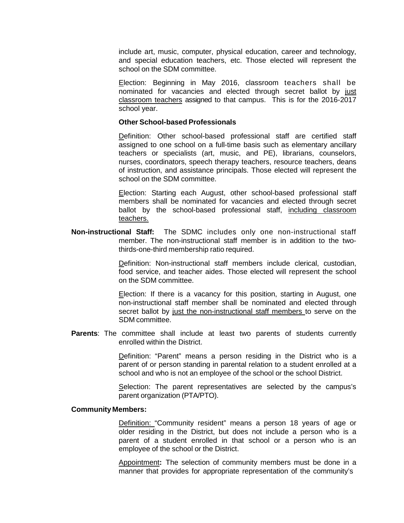include art, music, computer, physical education, career and technology, and special education teachers, etc. Those elected will represent the school on the SDM committee.

Election: Beginning in May 2016, classroom teachers shall be nominated for vacancies and elected through secret ballot by just classroom teachers assigned to that campus. This is for the 2016-2017 school year.

#### **Other School-based Professionals**

Definition: Other school-based professional staff are certified staff assigned to one school on a full-time basis such as elementary ancillary teachers or specialists (art, music, and PE), librarians, counselors, nurses, coordinators, speech therapy teachers, resource teachers, deans of instruction, and assistance principals. Those elected will represent the school on the SDM committee.

Election: Starting each August, other school-based professional staff members shall be nominated for vacancies and elected through secret ballot by the school-based professional staff, including classroom teachers.

**Non-instructional Staff:** The SDMC includes only one non-instructional staff member. The non-instructional staff member is in addition to the twothirds-one-third membership ratio required.

> Definition: Non-instructional staff members include clerical, custodian, food service, and teacher aides. Those elected will represent the school on the SDM committee.

> Election: If there is a vacancy for this position, starting in August, one non-instructional staff member shall be nominated and elected through secret ballot by just the non-instructional staff members to serve on the SDM committee.

**Parents**: The committee shall include at least two parents of students currently enrolled within the District.

> Definition: "Parent" means a person residing in the District who is a parent of or person standing in parental relation to a student enrolled at a school and who is not an employee of the school or the school District.

> Selection: The parent representatives are selected by the campus's parent organization (PTA/PTO).

#### **Community Members:**

Definition: "Community resident" means a person 18 years of age or older residing in the District, but does not include a person who is a parent of a student enrolled in that school or a person who is an employee of the school or the District.

Appointment**:** The selection of community members must be done in a manner that provides for appropriate representation of the community's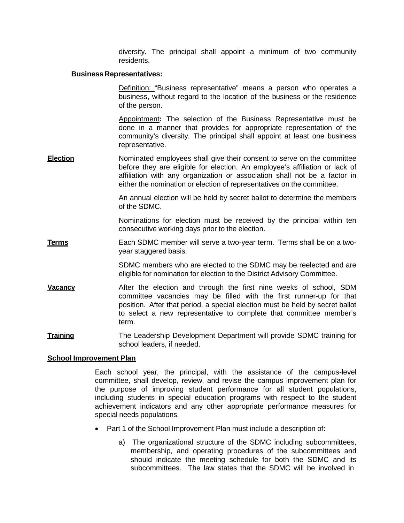diversity. The principal shall appoint a minimum of two community residents.

#### **Business Representatives:**

Definition: "Business representative" means a person who operates a business, without regard to the location of the business or the residence of the person.

Appointment**:** The selection of the Business Representative must be done in a manner that provides for appropriate representation of the community's diversity. The principal shall appoint at least one business representative.

**Election** Nominated employees shall give their consent to serve on the committee before they are eligible for election. An employee's affiliation or lack of affiliation with any organization or association shall not be a factor in either the nomination or election of representatives on the committee.

> An annual election will be held by secret ballot to determine the members of the SDMC.

> Nominations for election must be received by the principal within ten consecutive working days prior to the election.

**Terms** Each SDMC member will serve a two-year term. Terms shall be on a twoyear staggered basis.

> SDMC members who are elected to the SDMC may be reelected and are eligible for nomination for election to the District Advisory Committee.

- **Vacancy After the election and through the first nine weeks of school, SDM** committee vacancies may be filled with the first runner-up for that position. After that period, a special election must be held by secret ballot to select a new representative to complete that committee member's term.
- **Training** The Leadership Development Department will provide SDMC training for school leaders, if needed.

### **School Improvement Plan**

Each school year, the principal, with the assistance of the campus-level committee, shall develop, review, and revise the campus improvement plan for the purpose of improving student performance for all student populations, including students in special education programs with respect to the student achievement indicators and any other appropriate performance measures for special needs populations.

- Part 1 of the School Improvement Plan must include a description of:
	- a) The organizational structure of the SDMC including subcommittees, membership, and operating procedures of the subcommittees and should indicate the meeting schedule for both the SDMC and its subcommittees. The law states that the SDMC will be involved in